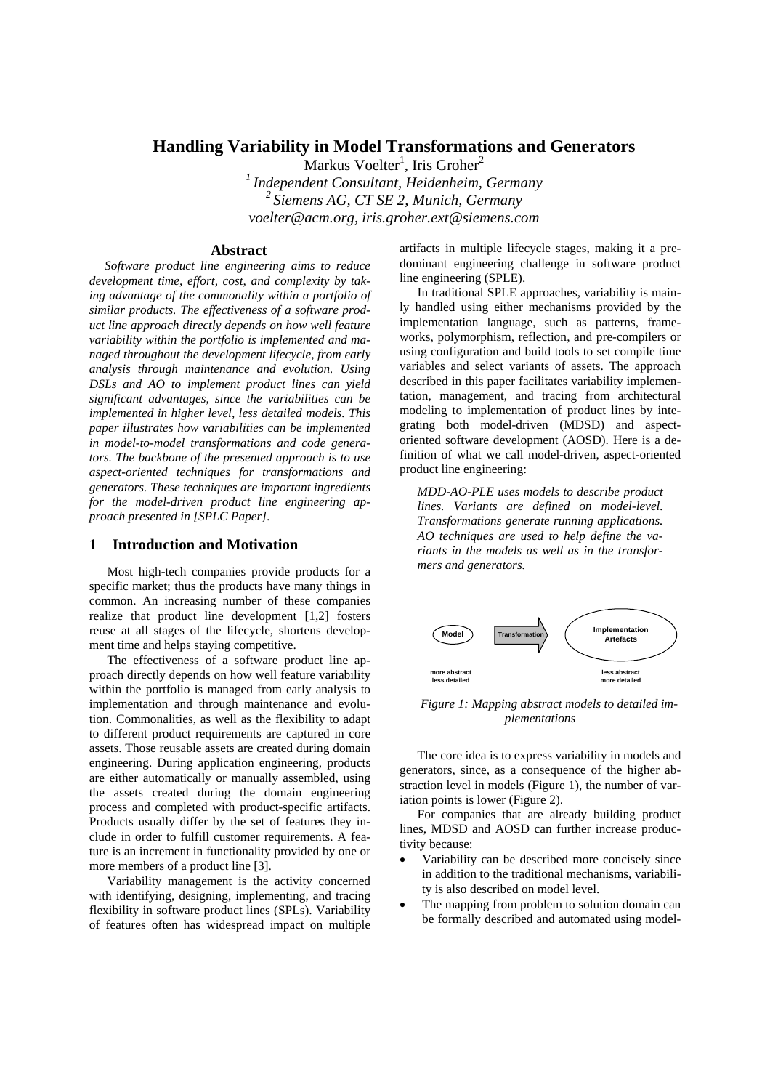# **Handling Variability in Model Transformations and Generators**

 $M$ arkus Voelter<sup>1</sup>, Iris Groher<sup>2</sup>

*1 Independent Consultant, Heidenheim, Germany 2 Siemens AG, CT SE 2, Munich, Germany voelter@acm.org, iris.groher.ext@siemens.com* 

## **Abstract**

*Software product line engineering aims to reduce development time, effort, cost, and complexity by taking advantage of the commonality within a portfolio of similar products. The effectiveness of a software product line approach directly depends on how well feature variability within the portfolio is implemented and managed throughout the development lifecycle, from early analysis through maintenance and evolution. Using DSLs and AO to implement product lines can yield significant advantages, since the variabilities can be implemented in higher level, less detailed models. This paper illustrates how variabilities can be implemented in model-to-model transformations and code generators. The backbone of the presented approach is to use aspect-oriented techniques for transformations and generators. These techniques are important ingredients for the model-driven product line engineering approach presented in [SPLC Paper].* 

# **1 Introduction and Motivation**

Most high-tech companies provide products for a specific market; thus the products have many things in common. An increasing number of these companies realize that product line development [1,2] fosters reuse at all stages of the lifecycle, shortens development time and helps staying competitive.

The effectiveness of a software product line approach directly depends on how well feature variability within the portfolio is managed from early analysis to implementation and through maintenance and evolution. Commonalities, as well as the flexibility to adapt to different product requirements are captured in core assets. Those reusable assets are created during domain engineering. During application engineering, products are either automatically or manually assembled, using the assets created during the domain engineering process and completed with product-specific artifacts. Products usually differ by the set of features they include in order to fulfill customer requirements. A feature is an increment in functionality provided by one or more members of a product line [3].

Variability management is the activity concerned with identifying, designing, implementing, and tracing flexibility in software product lines (SPLs). Variability of features often has widespread impact on multiple artifacts in multiple lifecycle stages, making it a predominant engineering challenge in software product line engineering (SPLE).

In traditional SPLE approaches, variability is mainly handled using either mechanisms provided by the implementation language, such as patterns, frameworks, polymorphism, reflection, and pre-compilers or using configuration and build tools to set compile time variables and select variants of assets. The approach described in this paper facilitates variability implementation, management, and tracing from architectural modeling to implementation of product lines by integrating both model-driven (MDSD) and aspectoriented software development (AOSD). Here is a definition of what we call model-driven, aspect-oriented product line engineering:

*MDD-AO-PLE uses models to describe product lines. Variants are defined on model-level. Transformations generate running applications. AO techniques are used to help define the variants in the models as well as in the transformers and generators.* 



*Figure 1: Mapping abstract models to detailed implementations* 

The core idea is to express variability in models and generators, since, as a consequence of the higher abstraction level in models (Figure 1), the number of variation points is lower (Figure 2).

For companies that are already building product lines, MDSD and AOSD can further increase productivity because:

- Variability can be described more concisely since in addition to the traditional mechanisms, variability is also described on model level.
- The mapping from problem to solution domain can be formally described and automated using model-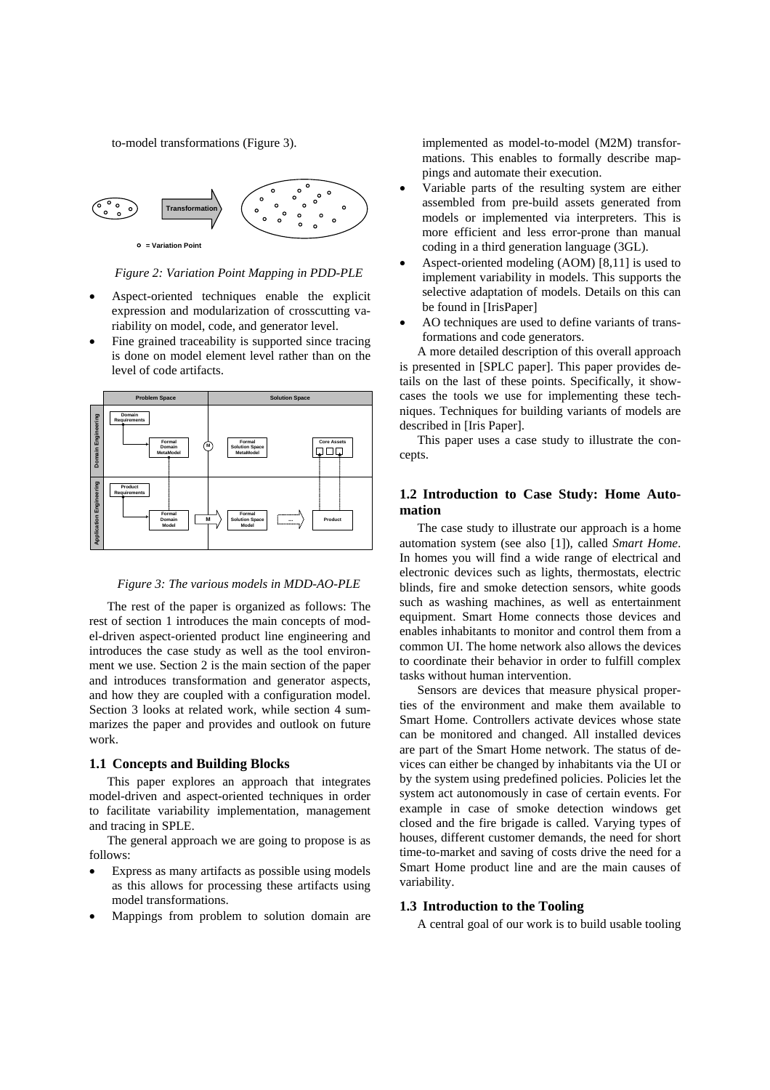to-model transformations (Figure 3).



*Figure 2: Variation Point Mapping in PDD-PLE* 

- Aspect-oriented techniques enable the explicit expression and modularization of crosscutting variability on model, code, and generator level.
- Fine grained traceability is supported since tracing is done on model element level rather than on the level of code artifacts.



*Figure 3: The various models in MDD-AO-PLE* 

The rest of the paper is organized as follows: The rest of section 1 introduces the main concepts of model-driven aspect-oriented product line engineering and introduces the case study as well as the tool environment we use. Section 2 is the main section of the paper and introduces transformation and generator aspects, and how they are coupled with a configuration model. Section 3 looks at related work, while section 4 summarizes the paper and provides and outlook on future work.

### **1.1 Concepts and Building Blocks**

This paper explores an approach that integrates model-driven and aspect-oriented techniques in order to facilitate variability implementation, management and tracing in SPLE.

The general approach we are going to propose is as follows:

- Express as many artifacts as possible using models as this allows for processing these artifacts using model transformations.
- Mappings from problem to solution domain are

implemented as model-to-model (M2M) transformations. This enables to formally describe mappings and automate their execution.

- Variable parts of the resulting system are either assembled from pre-build assets generated from models or implemented via interpreters. This is more efficient and less error-prone than manual coding in a third generation language (3GL).
- Aspect-oriented modeling (AOM) [8,11] is used to implement variability in models. This supports the selective adaptation of models. Details on this can be found in [IrisPaper]
- AO techniques are used to define variants of transformations and code generators.

A more detailed description of this overall approach is presented in [SPLC paper]. This paper provides details on the last of these points. Specifically, it showcases the tools we use for implementing these techniques. Techniques for building variants of models are described in [Iris Paper].

This paper uses a case study to illustrate the concepts.

# **1.2 Introduction to Case Study: Home Automation**

The case study to illustrate our approach is a home automation system (see also [1]), called *Smart Home*. In homes you will find a wide range of electrical and electronic devices such as lights, thermostats, electric blinds, fire and smoke detection sensors, white goods such as washing machines, as well as entertainment equipment. Smart Home connects those devices and enables inhabitants to monitor and control them from a common UI. The home network also allows the devices to coordinate their behavior in order to fulfill complex tasks without human intervention.

Sensors are devices that measure physical properties of the environment and make them available to Smart Home. Controllers activate devices whose state can be monitored and changed. All installed devices are part of the Smart Home network. The status of devices can either be changed by inhabitants via the UI or by the system using predefined policies. Policies let the system act autonomously in case of certain events. For example in case of smoke detection windows get closed and the fire brigade is called. Varying types of houses, different customer demands, the need for short time-to-market and saving of costs drive the need for a Smart Home product line and are the main causes of variability.

#### **1.3 Introduction to the Tooling**

A central goal of our work is to build usable tooling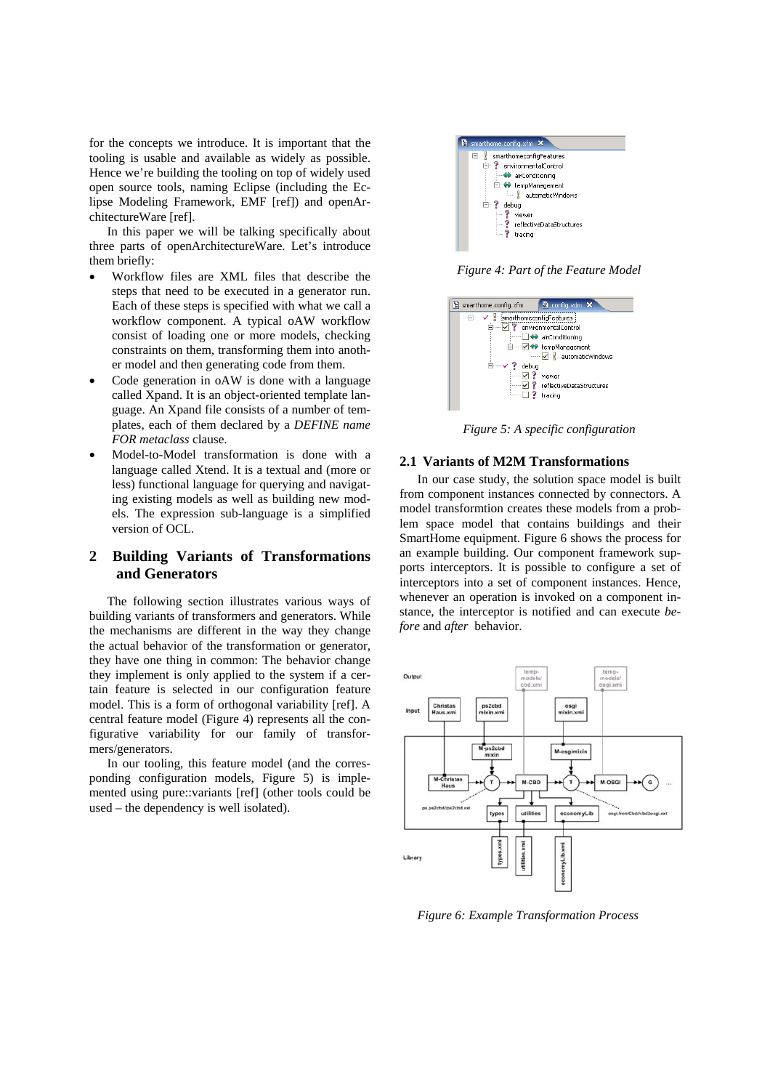for the concepts we introduce. It is important that the tooling is usable and available as widely as possible. Hence we're building the tooling on top of widely used open source tools, naming Eclipse (including the Eclipse Modeling Framework, EMF [ref]) and openArchitectureWare [ref].

In this paper we will be talking specifically about three parts of openArchitectureWare. Let's introduce them briefly:

- Workflow files are XML files that describe the steps that need to be executed in a generator run. Each of these steps is specified with what we call a workflow component. A typical oAW workflow consist of loading one or more models, checking constraints on them, transforming them into another model and then generating code from them.
- Code generation in oAW is done with a language called Xpand. It is an object-oriented template language. An Xpand file consists of a number of templates, each of them declared by a *DEFINE name FOR metaclass* clause.
- Model-to-Model transformation is done with a language called Xtend. It is a textual and (more or less) functional language for querying and navigating existing models as well as building new models. The expression sub-language is a simplified version of OCL.

# **2 Building Variants of Transformations and Generators**

The following section illustrates various ways of building variants of transformers and generators. While the mechanisms are different in the way they change the actual behavior of the transformation or generator, they have one thing in common: The behavior change they implement is only applied to the system if a certain feature is selected in our configuration feature model. This is a form of orthogonal variability [ref]. A central feature model (Figure 4) represents all the configurative variability for our family of transformers/generators.

In our tooling, this feature model (and the corresponding configuration models, Figure 5) is implemented using pure::variants [ref] (other tools could be used – the dependency is well isolated).



*Figure 4: Part of the Feature Model* 



*Figure 5: A specific configuration* 

## **2.1 Variants of M2M Transformations**

In our case study, the solution space model is built from component instances connected by connectors. A model transformtion creates these models from a problem space model that contains buildings and their SmartHome equipment. Figure 6 shows the process for an example building. Our component framework supports interceptors. It is possible to configure a set of interceptors into a set of component instances. Hence, whenever an operation is invoked on a component instance, the interceptor is notified and can execute *before* and *after* behavior.



*Figure 6: Example Transformation Process*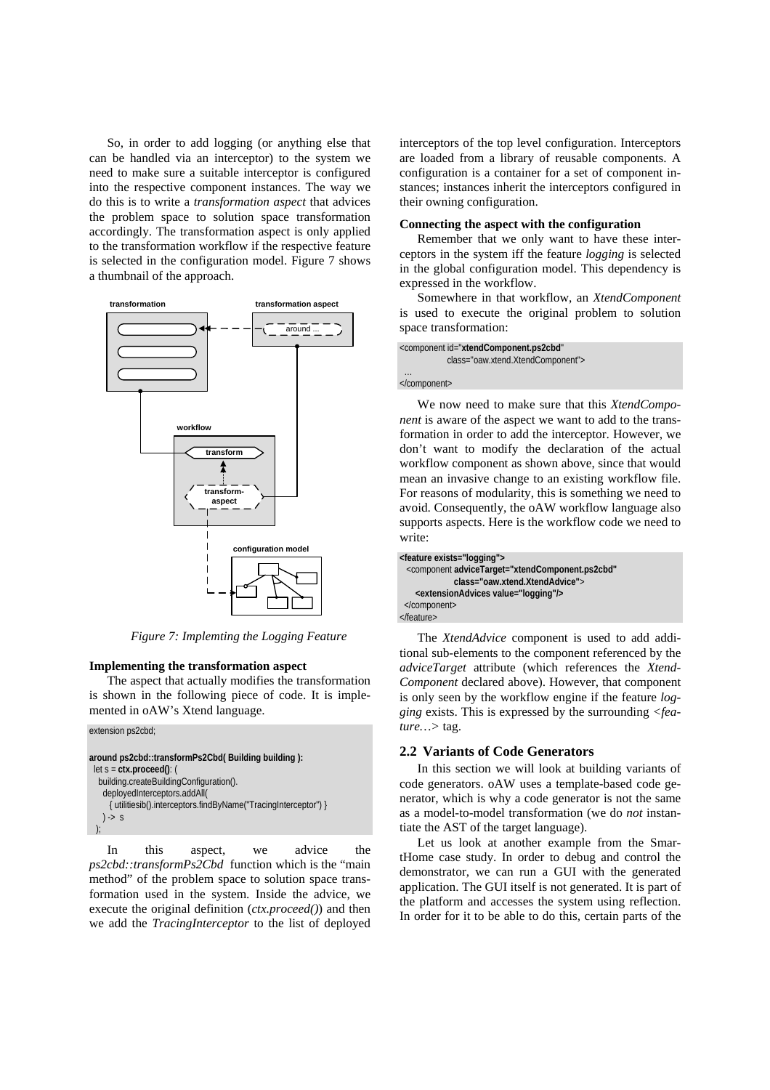So, in order to add logging (or anything else that can be handled via an interceptor) to the system we need to make sure a suitable interceptor is configured into the respective component instances. The way we do this is to write a *transformation aspect* that advices the problem space to solution space transformation accordingly. The transformation aspect is only applied to the transformation workflow if the respective feature is selected in the configuration model. Figure 7 shows a thumbnail of the approach.



*Figure 7: Implemting the Logging Feature* 

### **Implementing the transformation aspect**

The aspect that actually modifies the transformation is shown in the following piece of code. It is implemented in oAW's Xtend language.

```
extension ps2cbd; 
around ps2cbd::transformPs2Cbd( Building building ):
  let s = ctx.proceed(): ( 
   building.createBuildingConfiguration(). 
    deployedInterceptors.addAll( 
       { utilitiesib().interceptors.findByName("TracingInterceptor") } 
   ) -> S
 );
```
In this aspect, we advice the *ps2cbd::transformPs2Cbd* function which is the "main method" of the problem space to solution space transformation used in the system. Inside the advice, we execute the original definition (*ctx.proceed()*) and then we add the *TracingInterceptor* to the list of deployed interceptors of the top level configuration. Interceptors are loaded from a library of reusable components. A configuration is a container for a set of component instances; instances inherit the interceptors configured in their owning configuration.

### **Connecting the aspect with the configuration**

Remember that we only want to have these interceptors in the system iff the feature *logging* is selected in the global configuration model. This dependency is expressed in the workflow.

Somewhere in that workflow, an *XtendComponent* is used to execute the original problem to solution space transformation:

```
<component id="xtendComponent.ps2cbd" 
            class="oaw.xtend.XtendComponent"> 
 …
```
#### </component>

We now need to make sure that this *XtendComponent* is aware of the aspect we want to add to the transformation in order to add the interceptor. However, we don't want to modify the declaration of the actual workflow component as shown above, since that would mean an invasive change to an existing workflow file. For reasons of modularity, this is something we need to avoid. Consequently, the oAW workflow language also supports aspects. Here is the workflow code we need to write:

```
<feature exists="logging">
  <component adviceTarget="xtendComponent.ps2cbd" 
              class="oaw.xtend.XtendAdvice"> 
    <extensionAdvices value="logging"/>
 </component> 
</feature>
```
The *XtendAdvice* component is used to add additional sub-elements to the component referenced by the *adviceTarget* attribute (which references the *Xtend-Component* declared above). However, that component is only seen by the workflow engine if the feature *logging* exists. This is expressed by the surrounding *<feature…>* tag.

### **2.2 Variants of Code Generators**

In this section we will look at building variants of code generators. oAW uses a template-based code generator, which is why a code generator is not the same as a model-to-model transformation (we do *not* instantiate the AST of the target language).

Let us look at another example from the SmartHome case study. In order to debug and control the demonstrator, we can run a GUI with the generated application. The GUI itself is not generated. It is part of the platform and accesses the system using reflection. In order for it to be able to do this, certain parts of the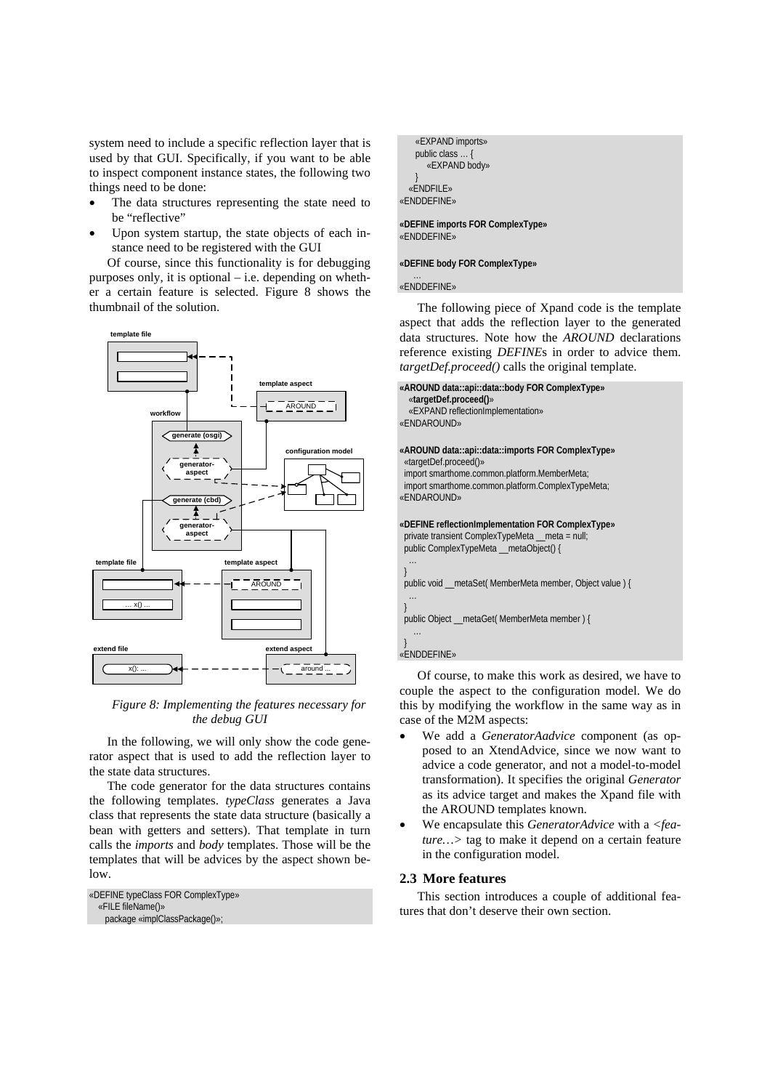system need to include a specific reflection layer that is used by that GUI. Specifically, if you want to be able to inspect component instance states, the following two things need to be done:

- The data structures representing the state need to be "reflective"
- Upon system startup, the state objects of each instance need to be registered with the GUI

Of course, since this functionality is for debugging purposes only, it is optional – i.e. depending on whether a certain feature is selected. Figure 8 shows the thumbnail of the solution.



### *Figure 8: Implementing the features necessary for the debug GUI*

In the following, we will only show the code generator aspect that is used to add the reflection layer to the state data structures.

The code generator for the data structures contains the following templates. *typeClass* generates a Java class that represents the state data structure (basically a bean with getters and setters). That template in turn calls the *imports* and *body* templates. Those will be the templates that will be advices by the aspect shown below.

```
«DEFINE typeClass FOR ComplexType» 
  «FILE fileName()»
```

```
 package «implClassPackage()»;
```

```
 «EXPAND imports» 
    public class … { 
       «EXPAND body» 
 } 
   «ENDFILE» 
«ENDDEFINE»
```
**«DEFINE imports FOR ComplexType»** «ENDDEFINE»

### **«DEFINE body FOR ComplexType»**

#### … «ENDDEFINE»

The following piece of Xpand code is the template aspect that adds the reflection layer to the generated data structures. Note how the *AROUND* declarations reference existing *DEFINE*s in order to advice them. *targetDef.proceed()* calls the original template.

**«AROUND data::api::data::body FOR ComplexType»**  «**targetDef.proceed()**» «EXPAND reflectionImplementation»

«ENDAROUND»

**«AROUND data::api::data::imports FOR ComplexType»**  «targetDef.proceed()»

 import smarthome.common.platform.MemberMeta; import smarthome.common.platform.ComplexTypeMeta; «ENDAROUND»

**«DEFINE reflectionImplementation FOR ComplexType»** 

 private transient ComplexTypeMeta \_\_meta = null; public ComplexTypeMeta \_\_metaObject() {

 … } public void \_\_metaSet( MemberMeta member, Object value ) { … } public Object \_\_metaGet( MemberMeta member ) { …

#### } «ENDDEFINE»

Of course, to make this work as desired, we have to couple the aspect to the configuration model. We do this by modifying the workflow in the same way as in case of the M2M aspects:

- We add a *GeneratorAadvice* component (as opposed to an XtendAdvice, since we now want to advice a code generator, and not a model-to-model transformation). It specifies the original *Generator* as its advice target and makes the Xpand file with the AROUND templates known.
- We encapsulate this *GeneratorAdvice* with a *<feature…>* tag to make it depend on a certain feature in the configuration model.

### **2.3 More features**

This section introduces a couple of additional features that don't deserve their own section.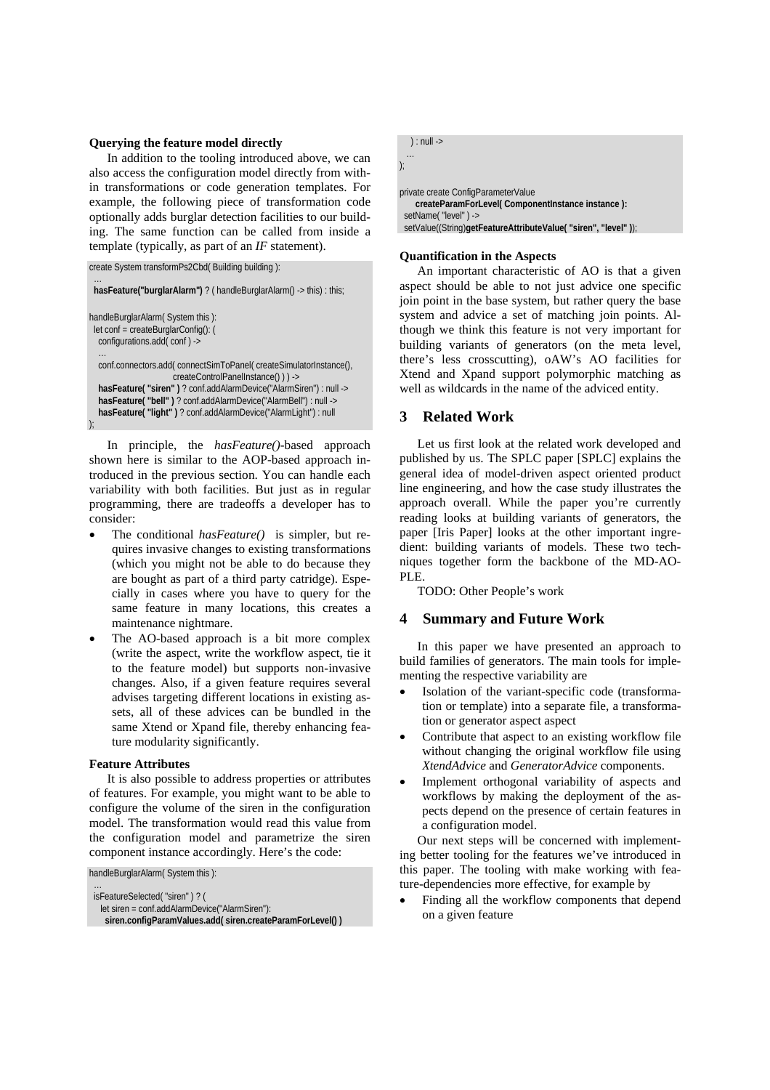### **Querying the feature model directly**

In addition to the tooling introduced above, we can also access the configuration model directly from within transformations or code generation templates. For example, the following piece of transformation code optionally adds burglar detection facilities to our building. The same function can be called from inside a template (typically, as part of an *IF* statement).

```
create System transformPs2Cbd( Building building ):
```
 … hasFeature("burglarAlarm") ? ( handleBurglarAlarm() -> this) : this; handleBurglarAlarm( System this ): let conf = createBurglarConfig(): ( configurations.add( conf ) ->

```
 … 
  conf.connectors.add( connectSimToPanel( createSimulatorInstance(), 
                       createControlPanelInstance() ) ) -> 
  hasFeature( "siren" ) ? conf.addAlarmDevice("AlarmSiren") : null -> 
  hasFeature( "bell" ) ? conf.addAlarmDevice("AlarmBell") : null -> 
  hasFeature( "light" ) ? conf.addAlarmDevice("AlarmLight") : null 
);
```
In principle, the *hasFeature()*-based approach shown here is similar to the AOP-based approach introduced in the previous section. You can handle each variability with both facilities. But just as in regular programming, there are tradeoffs a developer has to consider:

- The conditional *hasFeature()* is simpler, but requires invasive changes to existing transformations (which you might not be able to do because they are bought as part of a third party catridge). Especially in cases where you have to query for the same feature in many locations, this creates a maintenance nightmare.
- The AO-based approach is a bit more complex (write the aspect, write the workflow aspect, tie it to the feature model) but supports non-invasive changes. Also, if a given feature requires several advises targeting different locations in existing assets, all of these advices can be bundled in the same Xtend or Xpand file, thereby enhancing feature modularity significantly.

### **Feature Attributes**

It is also possible to address properties or attributes of features. For example, you might want to be able to configure the volume of the siren in the configuration model. The transformation would read this value from the configuration model and parametrize the siren component instance accordingly. Here's the code:

handleBurglarAlarm( System this ):

```
 … 
 isFeatureSelected( "siren" ) ? (
```
let siren = conf.addAlarmDevice("AlarmSiren"):

```
 siren.configParamValues.add( siren.createParamForLevel() )
```
### **Quantification in the Aspects**

An important characteristic of AO is that a given aspect should be able to not just advice one specific join point in the base system, but rather query the base system and advice a set of matching join points. Although we think this feature is not very important for building variants of generators (on the meta level, there's less crosscutting), oAW's AO facilities for Xtend and Xpand support polymorphic matching as well as wildcards in the name of the adviced entity.

# **3 Related Work**

Let us first look at the related work developed and published by us. The SPLC paper [SPLC] explains the general idea of model-driven aspect oriented product line engineering, and how the case study illustrates the approach overall. While the paper you're currently reading looks at building variants of generators, the paper [Iris Paper] looks at the other important ingredient: building variants of models. These two techniques together form the backbone of the MD-AO-PLE.

TODO: Other People's work

# **4 Summary and Future Work**

In this paper we have presented an approach to build families of generators. The main tools for implementing the respective variability are

- Isolation of the variant-specific code (transformation or template) into a separate file, a transformation or generator aspect aspect
- Contribute that aspect to an existing workflow file without changing the original workflow file using *XtendAdvice* and *GeneratorAdvice* components.
- Implement orthogonal variability of aspects and workflows by making the deployment of the aspects depend on the presence of certain features in a configuration model.

Our next steps will be concerned with implementing better tooling for the features we've introduced in this paper. The tooling with make working with feature-dependencies more effective, for example by

Finding all the workflow components that depend on a given feature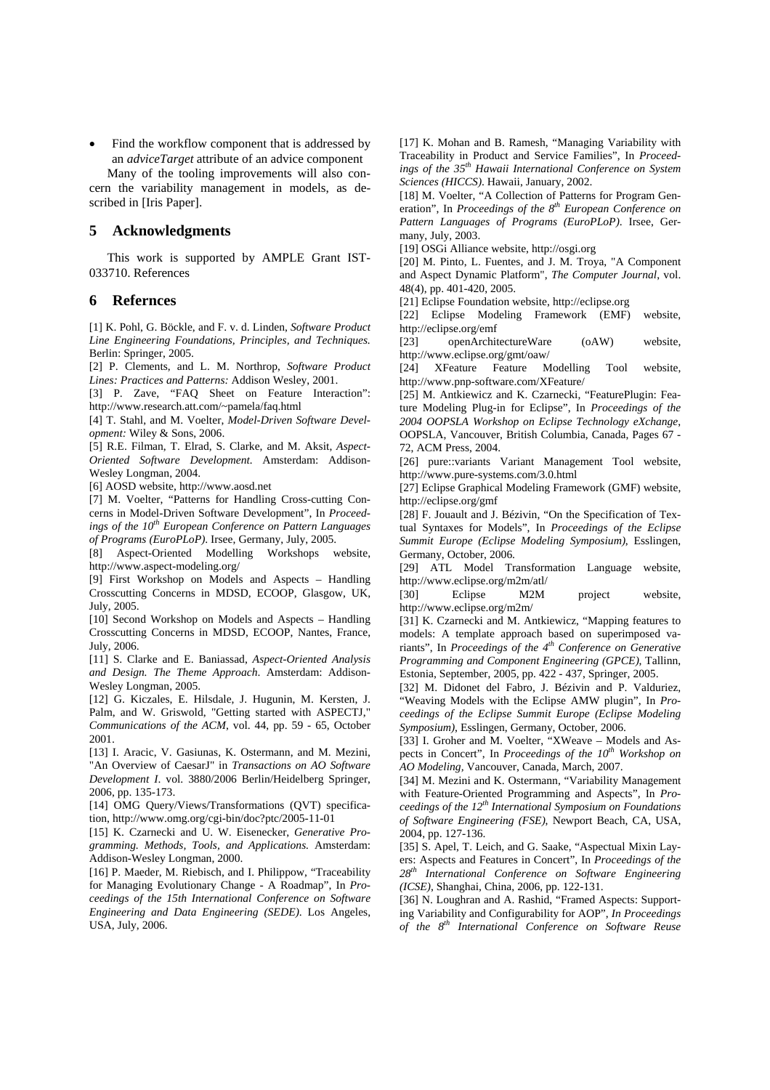Find the workflow component that is addressed by an *adviceTarget* attribute of an advice component Many of the tooling improvements will also con-

cern the variability management in models, as described in [Iris Paper].

### **5 Acknowledgments**

This work is supported by AMPLE Grant IST-033710. References

### **6 Refernces**

[1] K. Pohl, G. Böckle, and F. v. d. Linden, *Software Product Line Engineering Foundations, Principles, and Techniques.*  Berlin: Springer, 2005.

[2] P. Clements, and L. M. Northrop, *Software Product Lines: Practices and Patterns:* Addison Wesley, 2001.

[3] P. Zave, "FAQ Sheet on Feature Interaction": http://www.research.att.com/~pamela/faq.html

[4] T. Stahl, and M. Voelter, *Model-Driven Software Development:* Wiley & Sons, 2006.

[5] R.E. Filman, T. Elrad, S. Clarke, and M. Aksit, *Aspect-Oriented Software Development.* Amsterdam: Addison-Wesley Longman, 2004.

[6] AOSD website, http://www.aosd.net

[7] M. Voelter, "Patterns for Handling Cross-cutting Concerns in Model-Driven Software Development", In *Proceed*ings of the 10<sup>th</sup> European Conference on Pattern Languages *of Programs (EuroPLoP)*. Irsee, Germany, July, 2005.

[8] Aspect-Oriented Modelling Workshops website, http://www.aspect-modeling.org/

[9] First Workshop on Models and Aspects – Handling Crosscutting Concerns in MDSD, ECOOP, Glasgow, UK, July, 2005.

[10] Second Workshop on Models and Aspects – Handling Crosscutting Concerns in MDSD, ECOOP, Nantes, France, July, 2006.

[11] S. Clarke and E. Baniassad, *Aspect-Oriented Analysis and Design. The Theme Approach*. Amsterdam: Addison-Wesley Longman, 2005.

[12] G. Kiczales, E. Hilsdale, J. Hugunin, M. Kersten, J. Palm, and W. Griswold, "Getting started with ASPECTJ," *Communications of the ACM*, vol. 44, pp. 59 - 65, October 2001.

[13] I. Aracic, V. Gasiunas, K. Ostermann, and M. Mezini, "An Overview of CaesarJ" in *Transactions on AO Software Development I*. vol. 3880/2006 Berlin/Heidelberg Springer, 2006, pp. 135-173.

[14] OMG Query/Views/Transformations (OVT) specification, http://www.omg.org/cgi-bin/doc?ptc/2005-11-01

[15] K. Czarnecki and U. W. Eisenecker, *Generative Programming. Methods, Tools, and Applications.* Amsterdam: Addison-Wesley Longman, 2000.

[16] P. Maeder, M. Riebisch, and I. Philippow, "Traceability for Managing Evolutionary Change - A Roadmap", In *Proceedings of the 15th International Conference on Software Engineering and Data Engineering (SEDE)*. Los Angeles, USA, July, 2006.

[17] K. Mohan and B. Ramesh, "Managing Variability with Traceability in Product and Service Families", In *Proceedings of the 35th Hawaii International Conference on System Sciences (HICCS)*. Hawaii, January, 2002.

[18] M. Voelter, "A Collection of Patterns for Program Generation", In *Proceedings of the 8th European Conference on Pattern Languages of Programs (EuroPLoP)*. Irsee, Germany, July, 2003.

[19] OSGi Alliance website, http://osgi.org

[20] M. Pinto, L. Fuentes, and J. M. Troya, "A Component and Aspect Dynamic Platform", *The Computer Journal*, vol. 48(4), pp. 401-420, 2005.

[21] Eclipse Foundation website, http://eclipse.org

[22] Eclipse Modeling Framework (EMF) website, http://eclipse.org/emf

[23] openArchitectureWare (oAW) website, http://www.eclipse.org/gmt/oaw/

[24] XFeature Feature Modelling Tool website, http://www.pnp-software.com/XFeature/

[25] M. Antkiewicz and K. Czarnecki, "FeaturePlugin: Feature Modeling Plug-in for Eclipse", In *Proceedings of the 2004 OOPSLA Workshop on Eclipse Technology eXchange*, OOPSLA, Vancouver, British Columbia, Canada, Pages 67 - 72, ACM Press, 2004.

[26] pure::variants Variant Management Tool website, http://www.pure-systems.com/3.0.html

[27] Eclipse Graphical Modeling Framework (GMF) website, http://eclipse.org/gmf

[28] F. Jouault and J. Bézivin, "On the Specification of Textual Syntaxes for Models", In *Proceedings of the Eclipse Summit Europe (Eclipse Modeling Symposium)*, Esslingen, Germany, October, 2006.

[29] ATL Model Transformation Language website, http://www.eclipse.org/m2m/atl/

[30] Eclipse M2M project website, http://www.eclipse.org/m2m/

[31] K. Czarnecki and M. Antkiewicz, "Mapping features to models: A template approach based on superimposed variants", In *Proceedings of the 4th Conference on Generative Programming and Component Engineering (GPCE)*, Tallinn, Estonia, September, 2005, pp. 422 - 437, Springer, 2005.

[32] M. Didonet del Fabro, J. Bézivin and P. Valduriez, "Weaving Models with the Eclipse AMW plugin", In *Proceedings of the Eclipse Summit Europe (Eclipse Modeling Symposium)*, Esslingen, Germany, October, 2006.

[33] I. Groher and M. Voelter, "XWeave - Models and Aspects in Concert", In *Proceedings of the 10<sup>th</sup> Workshop on AO Modeling,* Vancouver, Canada, March, 2007.

[34] M. Mezini and K. Ostermann, "Variability Management with Feature-Oriented Programming and Aspects", In *Proceedings of the 12th International Symposium on Foundations of Software Engineering (FSE)*, Newport Beach, CA, USA, 2004, pp. 127-136.

[35] S. Apel, T. Leich, and G. Saake, "Aspectual Mixin Layers: Aspects and Features in Concert", In *Proceedings of the 28th International Conference on Software Engineering (ICSE)*, Shanghai, China, 2006, pp. 122-131.

[36] N. Loughran and A. Rashid, "Framed Aspects: Supporting Variability and Configurability for AOP", *In Proceedings of the 8th International Conference on Software Reuse*